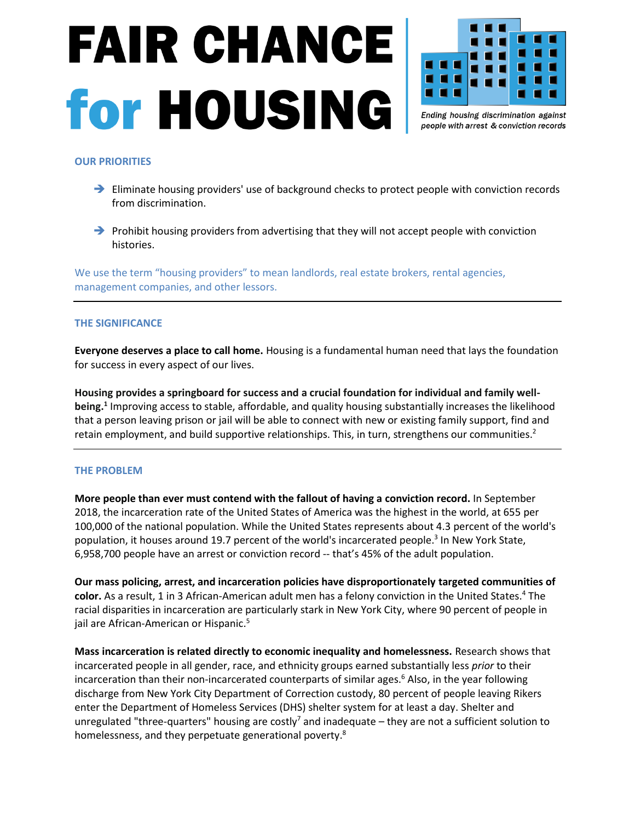## **FAIR CHANCE for HOUSING**



Ending housing discrimination against people with arrest & conviction records

## **OUR PRIORITIES**

- ➔ Eliminate housing providers' use of background checks to protect people with conviction records from discrimination.
- → Prohibit housing providers from advertising that they will not accept people with conviction histories.

We use the term "housing providers" to mean landlords, real estate brokers, rental agencies, management companies, and other lessors.

## **THE SIGNIFICANCE**

**Everyone deserves a place to call home.** Housing is a fundamental human need that lays the foundation for success in every aspect of our lives.

**Housing provides a springboard for success and a crucial foundation for individual and family well**being.<sup>1</sup> Improving access to stable, affordable, and quality housing substantially increases the likelihood that a person leaving prison or jail will be able to connect with new or existing family support, find and retain employment, and build supportive relationships. This, in turn, strengthens our communities.<sup>2</sup>

## **THE PROBLEM**

**More people than ever must contend with the fallout of having a conviction record.** In September 2018, the incarceration rate of the United States of America was the highest in the world, at 655 per 100,000 of the national population. While the United States represents about 4.3 percent of the world's population, it houses around 19.7 percent of the world's incarcerated people. 3 In New York State, 6,958,700 people have an arrest or conviction record -- that's 45% of the adult population.

**Our mass policing, arrest, and incarceration policies have disproportionately targeted communities of color.** As a result, 1 in 3 African-American adult men has a felony conviction in the United States. <sup>4</sup> The racial disparities in incarceration are particularly stark in New York City, where 90 percent of people in jail are African-American or Hispanic.<sup>5</sup>

**Mass incarceration is related directly to economic inequality and homelessness.** Research shows that incarcerated people in all gender, race, and ethnicity groups earned substantially less *prior* to their incarceration than their non-incarcerated counterparts of similar ages.<sup>6</sup> Also, in the year following discharge from New York City Department of Correction custody, 80 percent of people leaving Rikers enter the Department of Homeless Services (DHS) shelter system for at least a day. Shelter and unregulated "three-quarters" housing are costly<sup>7</sup> and inadequate – they are not a sufficient solution to homelessness, and they perpetuate generational poverty.<sup>8</sup>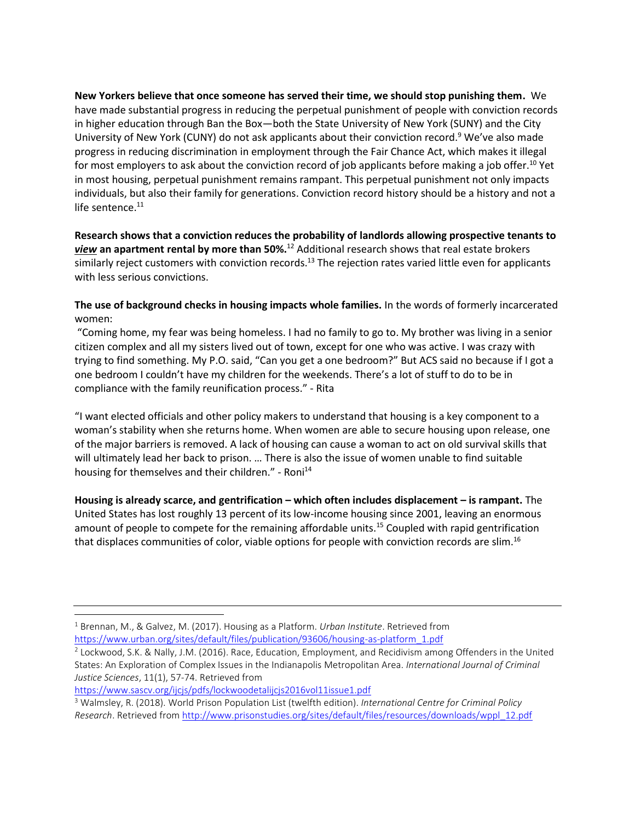**New Yorkers believe that once someone has served their time, we should stop punishing them.** We have made substantial progress in reducing the perpetual punishment of people with conviction records in higher education through Ban the Box—both the State University of New York (SUNY) and the City University of New York (CUNY) do not ask applicants about their conviction record.<sup>9</sup> We've also made progress in reducing discrimination in employment through the Fair Chance Act, which makes it illegal for most employers to ask about the conviction record of job applicants before making a job offer.<sup>10</sup> Yet in most housing, perpetual punishment remains rampant. This perpetual punishment not only impacts individuals, but also their family for generations. Conviction record history should be a history and not a life sentence. $11$ 

**Research shows that a conviction reduces the probability of landlords allowing prospective tenants to**  *view* **an apartment rental by more than 50%.**<sup>12</sup> Additional research shows that real estate brokers similarly reject customers with conviction records.<sup>13</sup> The rejection rates varied little even for applicants with less serious convictions.

**The use of background checks in housing impacts whole families.** In the words of formerly incarcerated women:

"Coming home, my fear was being homeless. I had no family to go to. My brother was living in a senior citizen complex and all my sisters lived out of town, except for one who was active. I was crazy with trying to find something. My P.O. said, "Can you get a one bedroom?" But ACS said no because if I got a one bedroom I couldn't have my children for the weekends. There's a lot of stuff to do to be in compliance with the family reunification process." - Rita

"I want elected officials and other policy makers to understand that housing is a key component to a woman's stability when she returns home. When women are able to secure housing upon release, one of the major barriers is removed. A lack of housing can cause a woman to act on old survival skills that will ultimately lead her back to prison. … There is also the issue of women unable to find suitable housing for themselves and their children." - Roni<sup>14</sup>

**Housing is already scarce, and gentrification – which often includes displacement – is rampant.** The United States has lost roughly 13 percent of its low-income housing since 2001, leaving an enormous amount of people to compete for the remaining affordable units.<sup>15</sup> Coupled with rapid gentrification that displaces communities of color, viable options for people with conviction records are slim.<sup>16</sup>

<https://www.sascv.org/ijcjs/pdfs/lockwoodetalijcjs2016vol11issue1.pdf>

<sup>1</sup> Brennan, M., & Galvez, M. (2017). Housing as a Platform. *Urban Institute*. Retrieved from [https://www.urban.org/sites/default/files/publication/93606/housing-as-platform\\_1.pdf](https://www.urban.org/sites/default/files/publication/93606/housing-as-platform_1.pdf)

<sup>&</sup>lt;sup>2</sup> Lockwood, S.K. & Nally, J.M. (2016). Race, Education, Employment, and Recidivism among Offenders in the United States: An Exploration of Complex Issues in the Indianapolis Metropolitan Area. *International Journal of Criminal Justice Sciences*, 11(1), 57-74. Retrieved from

<sup>3</sup> Walmsley, R. (2018). World Prison Population List (twelfth edition). *International Centre for Criminal Policy Research*. Retrieved from [http://www.prisonstudies.org/sites/default/files/resources/downloads/wppl\\_12.pdf](http://www.prisonstudies.org/sites/default/files/resources/downloads/wppl_12.pdf)